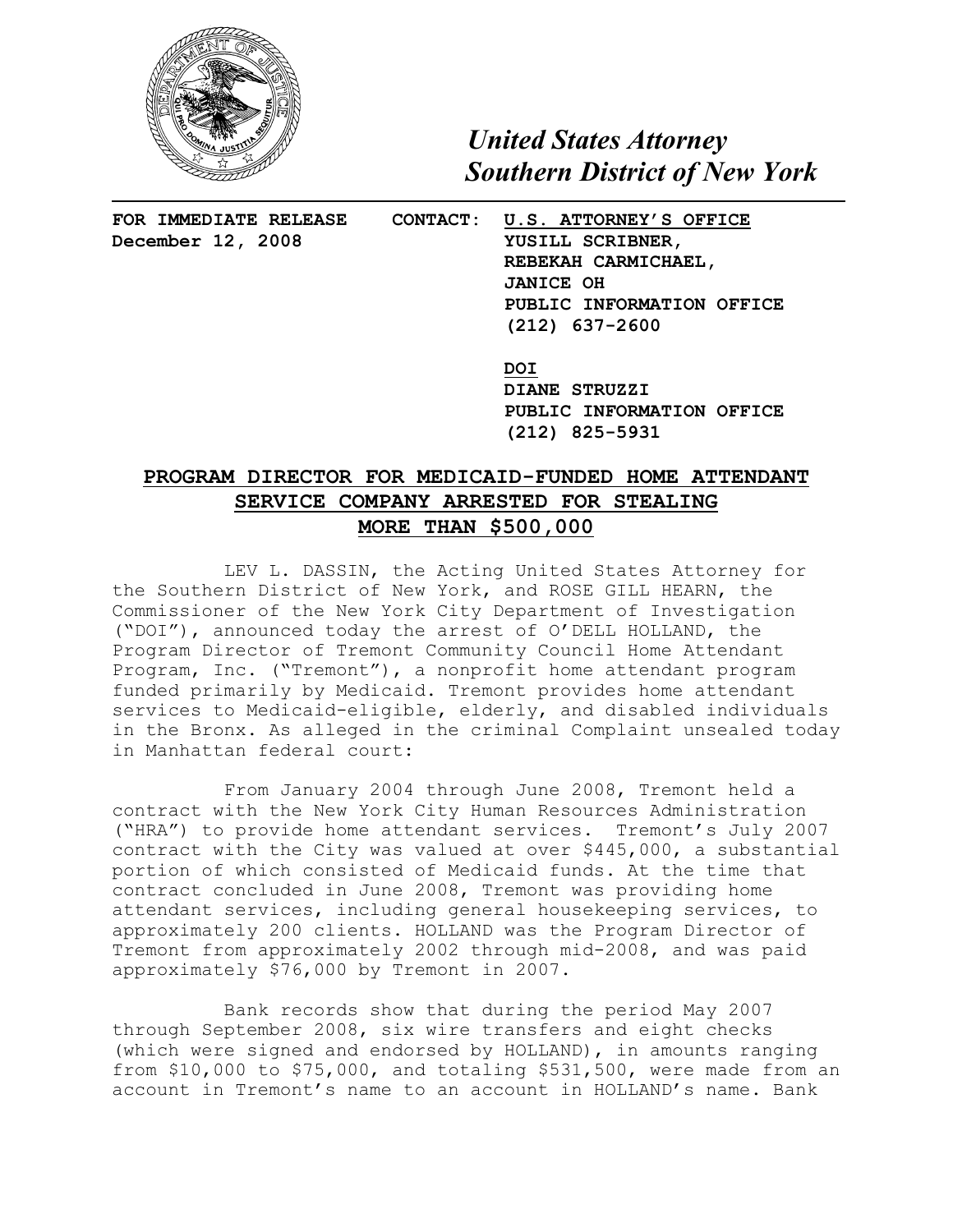

 *United States Attorney Southern District of New York*

**FOR IMMEDIATE RELEASE CONTACT: U.S. ATTORNEY'S OFFICE** December 12, 2008 YUSILL SCRIBNER, **REBEKAH CARMICHAEL, JANICE OH PUBLIC INFORMATION OFFICE (212) 637-2600**

> **DOI DIANE STRUZZI PUBLIC INFORMATION OFFICE (212) 825-5931**

## **PROGRAM DIRECTOR FOR MEDICAID-FUNDED HOME ATTENDANT SERVICE COMPANY ARRESTED FOR STEALING MORE THAN \$500,000**

LEV L. DASSIN, the Acting United States Attorney for the Southern District of New York, and ROSE GILL HEARN, the Commissioner of the New York City Department of Investigation ("DOI"), announced today the arrest of O'DELL HOLLAND, the Program Director of Tremont Community Council Home Attendant Program, Inc. ("Tremont"), a nonprofit home attendant program funded primarily by Medicaid. Tremont provides home attendant services to Medicaid-eligible, elderly, and disabled individuals in the Bronx. As alleged in the criminal Complaint unsealed today in Manhattan federal court:

From January 2004 through June 2008, Tremont held a contract with the New York City Human Resources Administration ("HRA") to provide home attendant services. Tremont's July 2007 contract with the City was valued at over \$445,000, a substantial portion of which consisted of Medicaid funds. At the time that contract concluded in June 2008, Tremont was providing home attendant services, including general housekeeping services, to approximately 200 clients. HOLLAND was the Program Director of Tremont from approximately 2002 through mid-2008, and was paid approximately \$76,000 by Tremont in 2007.

Bank records show that during the period May 2007 through September 2008, six wire transfers and eight checks (which were signed and endorsed by HOLLAND), in amounts ranging from \$10,000 to \$75,000, and totaling \$531,500, were made from an account in Tremont's name to an account in HOLLAND's name. Bank